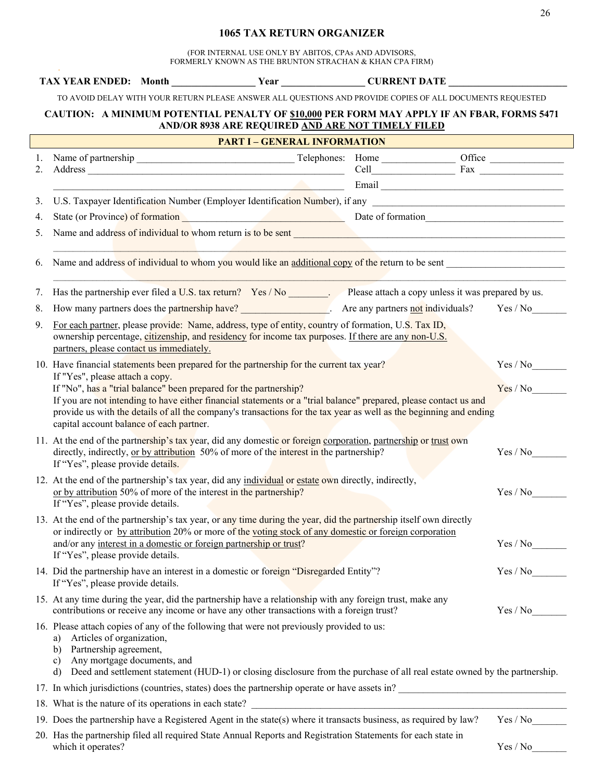## **1065 TAX RETURN ORGANIZER**

(FOR INTERNAL USE ONLY BY ABITOS, CPAs AND ADVISORS, FORMERLY KNOWN AS THE BRUNTON STRACHAN & KHAN CPA FIRM)

|                                                                                                                                                 |                                                                                                                                                                                                                                                                                                                                                                                             |                                                                                                                                                                                                                                                 |                                                                                           |  | TAX YEAR ENDED: Month ___________________Year _________________CURRENT DATE __________                                     |          |  |  |
|-------------------------------------------------------------------------------------------------------------------------------------------------|---------------------------------------------------------------------------------------------------------------------------------------------------------------------------------------------------------------------------------------------------------------------------------------------------------------------------------------------------------------------------------------------|-------------------------------------------------------------------------------------------------------------------------------------------------------------------------------------------------------------------------------------------------|-------------------------------------------------------------------------------------------|--|----------------------------------------------------------------------------------------------------------------------------|----------|--|--|
|                                                                                                                                                 |                                                                                                                                                                                                                                                                                                                                                                                             |                                                                                                                                                                                                                                                 |                                                                                           |  | TO AVOID DELAY WITH YOUR RETURN PLEASE ANSWER ALL QUESTIONS AND PROVIDE COPIES OF ALL DOCUMENTS REQUESTED                  |          |  |  |
| CAUTION: A MINIMUM POTENTIAL PENALTY OF \$10,000 PER FORM MAY APPLY IF AN FBAR, FORMS 5471<br>AND/OR 8938 ARE REQUIRED AND ARE NOT TIMELY FILED |                                                                                                                                                                                                                                                                                                                                                                                             |                                                                                                                                                                                                                                                 |                                                                                           |  |                                                                                                                            |          |  |  |
| <b>PART I - GENERAL INFORMATION</b>                                                                                                             |                                                                                                                                                                                                                                                                                                                                                                                             |                                                                                                                                                                                                                                                 |                                                                                           |  |                                                                                                                            |          |  |  |
|                                                                                                                                                 |                                                                                                                                                                                                                                                                                                                                                                                             |                                                                                                                                                                                                                                                 |                                                                                           |  |                                                                                                                            |          |  |  |
|                                                                                                                                                 |                                                                                                                                                                                                                                                                                                                                                                                             |                                                                                                                                                                                                                                                 | the control of the control of the control of the control of the control of the control of |  |                                                                                                                            |          |  |  |
| 3.                                                                                                                                              |                                                                                                                                                                                                                                                                                                                                                                                             |                                                                                                                                                                                                                                                 |                                                                                           |  |                                                                                                                            |          |  |  |
| 4.                                                                                                                                              |                                                                                                                                                                                                                                                                                                                                                                                             |                                                                                                                                                                                                                                                 |                                                                                           |  | State (or Province) of formation<br>State (or Province) of formation                                                       |          |  |  |
| 5.                                                                                                                                              |                                                                                                                                                                                                                                                                                                                                                                                             |                                                                                                                                                                                                                                                 |                                                                                           |  |                                                                                                                            |          |  |  |
| 6.                                                                                                                                              | Name and address of individual to whom you would like an additional copy of the return to be sent                                                                                                                                                                                                                                                                                           |                                                                                                                                                                                                                                                 |                                                                                           |  |                                                                                                                            |          |  |  |
| 7.                                                                                                                                              |                                                                                                                                                                                                                                                                                                                                                                                             |                                                                                                                                                                                                                                                 |                                                                                           |  | Has the partnership ever filed a U.S. tax return? Yes / No Please attach a copy unless it was prepared by us.              |          |  |  |
| 8.                                                                                                                                              |                                                                                                                                                                                                                                                                                                                                                                                             |                                                                                                                                                                                                                                                 |                                                                                           |  |                                                                                                                            |          |  |  |
| 9.                                                                                                                                              | For each partner, please provide: Name, address, type of entity, country of formation, U.S. Tax ID,<br>ownership percentage, citizenship, and residency for income tax purposes. If there are any non-U.S.<br>partners, please contact us immediately.                                                                                                                                      |                                                                                                                                                                                                                                                 |                                                                                           |  |                                                                                                                            |          |  |  |
|                                                                                                                                                 |                                                                                                                                                                                                                                                                                                                                                                                             |                                                                                                                                                                                                                                                 | 10. Have financial statements been prepared for the partnership for the current tax year? |  |                                                                                                                            | Yes / No |  |  |
|                                                                                                                                                 | If "Yes", please attach a copy.<br>If "No", has a "trial balance" been prepared for the partnership?<br>If you are not intending to have either financial statements or a "trial balance" prepared, please contact us and<br>provide us with the details of all the company's transactions for the tax year as well as the beginning and ending<br>capital account balance of each partner. |                                                                                                                                                                                                                                                 |                                                                                           |  |                                                                                                                            |          |  |  |
|                                                                                                                                                 |                                                                                                                                                                                                                                                                                                                                                                                             | 11. At the end of the partnership's tax year, did any domestic or foreign corporation, partnership or trust own<br>directly, indirectly, or by attribution 50% of more of the interest in the partnership?<br>If "Yes", please provide details. |                                                                                           |  |                                                                                                                            | Yes / No |  |  |
|                                                                                                                                                 |                                                                                                                                                                                                                                                                                                                                                                                             | 12. At the end of the partnership's tax year, did any individual or estate own directly, indirectly,<br>or by attribution 50% of more of the interest in the partnership?<br>If "Yes", please provide details.                                  |                                                                                           |  |                                                                                                                            | Yes / No |  |  |
|                                                                                                                                                 | 13. At the end of the partnership's tax year, or any time during the year, did the partnership itself own directly<br>or indirectly or <u>by attribution</u> 20% or more of the voting stock of any domestic or foreign corporation<br>and/or any interest in a domestic or foreign partnership or trust?<br>If "Yes", please provide details.                                              | $Yes/No$                                                                                                                                                                                                                                        |                                                                                           |  |                                                                                                                            |          |  |  |
|                                                                                                                                                 |                                                                                                                                                                                                                                                                                                                                                                                             | 14. Did the partnership have an interest in a domestic or foreign "Disregarded Entity"?<br>If "Yes", please provide details.                                                                                                                    |                                                                                           |  |                                                                                                                            | Yes / No |  |  |
|                                                                                                                                                 | 15. At any time during the year, did the partnership have a relationship with any foreign trust, make any<br>contributions or receive any income or have any other transactions with a foreign trust?                                                                                                                                                                                       |                                                                                                                                                                                                                                                 |                                                                                           |  | Yes / No                                                                                                                   |          |  |  |
|                                                                                                                                                 | Articles of organization,<br>a)<br>Partnership agreement,<br>b)<br>Any mortgage documents, and<br>c)<br>d)                                                                                                                                                                                                                                                                                  |                                                                                                                                                                                                                                                 | 16. Please attach copies of any of the following that were not previously provided to us: |  | Deed and settlement statement (HUD-1) or closing disclosure from the purchase of all real estate owned by the partnership. |          |  |  |
|                                                                                                                                                 |                                                                                                                                                                                                                                                                                                                                                                                             |                                                                                                                                                                                                                                                 |                                                                                           |  |                                                                                                                            |          |  |  |
|                                                                                                                                                 |                                                                                                                                                                                                                                                                                                                                                                                             |                                                                                                                                                                                                                                                 |                                                                                           |  |                                                                                                                            |          |  |  |
|                                                                                                                                                 |                                                                                                                                                                                                                                                                                                                                                                                             |                                                                                                                                                                                                                                                 |                                                                                           |  | 19. Does the partnership have a Registered Agent in the state(s) where it transacts business, as required by law?          | Yes / No |  |  |
|                                                                                                                                                 | which it operates?                                                                                                                                                                                                                                                                                                                                                                          |                                                                                                                                                                                                                                                 |                                                                                           |  | 20. Has the partnership filed all required State Annual Reports and Registration Statements for each state in              | Yes / No |  |  |